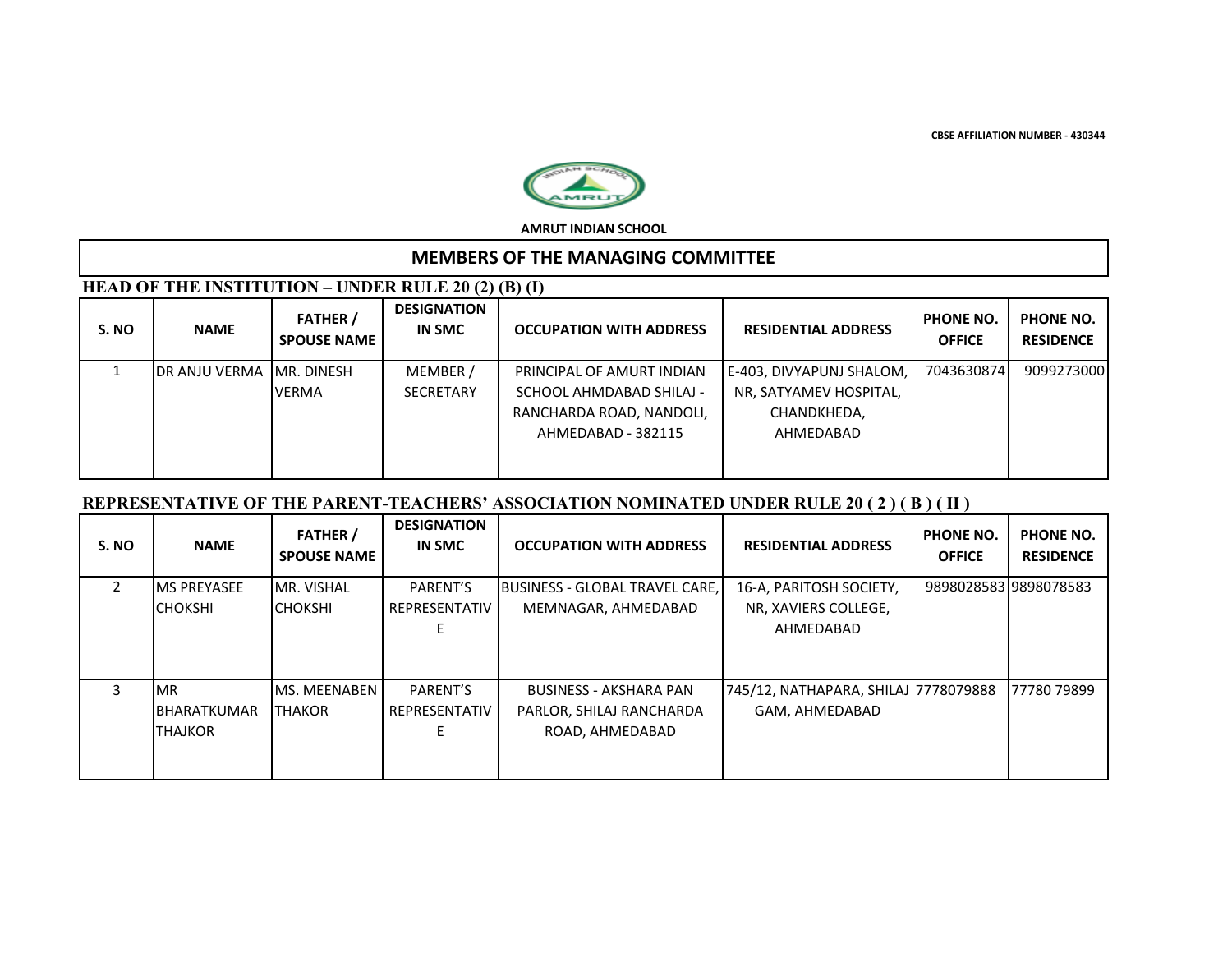**CBSE AFFILIATION NUMBER - 430344**



**AMRUT INDIAN SCHOOL**

# **MEMBERS OF THE MANAGING COMMITTEE**

# **HEAD OF THE INSTITUTION – UNDER RULE 20 (2) (B) (I)**

| S. NO | <b>NAME</b>                | <b>FATHER</b> /<br><b>SPOUSE NAME</b> | <b>DESIGNATION</b><br><b>IN SMC</b> | <b>OCCUPATION WITH ADDRESS</b> | <b>RESIDENTIAL ADDRESS</b> | PHONE NO.<br><b>OFFICE</b> | PHONE NO.<br><b>RESIDENCE</b> |
|-------|----------------------------|---------------------------------------|-------------------------------------|--------------------------------|----------------------------|----------------------------|-------------------------------|
|       | IDR ANJU VERMA IMR. DINESH |                                       | MEMBER /                            | PRINCIPAL OF AMURT INDIAN      | E-403, DIVYAPUNJ SHALOM,   | 7043630874                 | 9099273000                    |
|       |                            | <b>VERMA</b>                          | <b>SECRETARY</b>                    | SCHOOL AHMDABAD SHILAJ -       | NR, SATYAMEV HOSPITAL,     |                            |                               |
|       |                            |                                       |                                     | RANCHARDA ROAD, NANDOLI,       | CHANDKHEDA,                |                            |                               |
|       |                            |                                       |                                     | AHMEDABAD - 382115             | AHMEDABAD                  |                            |                               |
|       |                            |                                       |                                     |                                |                            |                            |                               |
|       |                            |                                       |                                     |                                |                            |                            |                               |

# **REPRESENTATIVE OF THE PARENT-TEACHERS' ASSOCIATION NOMINATED UNDER RULE 20 ( 2 ) ( B ) ( II )**

| S. NO | <b>NAME</b>         | <b>FATHER</b> /<br><b>SPOUSE NAME</b> | <b>DESIGNATION</b><br><b>IN SMC</b> | <b>OCCUPATION WITH ADDRESS</b>         | <b>RESIDENTIAL ADDRESS</b>           | PHONE NO.<br><b>OFFICE</b> | PHONE NO.<br><b>RESIDENCE</b> |
|-------|---------------------|---------------------------------------|-------------------------------------|----------------------------------------|--------------------------------------|----------------------------|-------------------------------|
|       | <b>MS PREYASEE</b>  | MR. VISHAL                            | PARENT'S                            | <b>IBUSINESS - GLOBAL TRAVEL CARE.</b> | 16-A, PARITOSH SOCIETY,              |                            | 9898028583 9898078583         |
|       | <b>CHOKSHI</b>      | <b>CHOKSHI</b>                        | REPRESENTATIV                       | MEMNAGAR, AHMEDABAD                    | NR, XAVIERS COLLEGE,                 |                            |                               |
|       |                     |                                       |                                     |                                        | AHMEDABAD                            |                            |                               |
|       |                     |                                       |                                     |                                        |                                      |                            |                               |
| 3     | <b>MR</b>           | MS. MEENABEN                          | PARENT'S                            | <b>BUSINESS - AKSHARA PAN</b>          | 745/12, NATHAPARA, SHILAJ 7778079888 |                            | 77780 79899                   |
|       | <b>IBHARATKUMAR</b> | <b>ITHAKOR</b>                        | REPRESENTATIV                       | PARLOR, SHILAJ RANCHARDA               | GAM, AHMEDABAD                       |                            |                               |
|       | <b>THAJKOR</b>      |                                       |                                     | ROAD, AHMEDABAD                        |                                      |                            |                               |
|       |                     |                                       |                                     |                                        |                                      |                            |                               |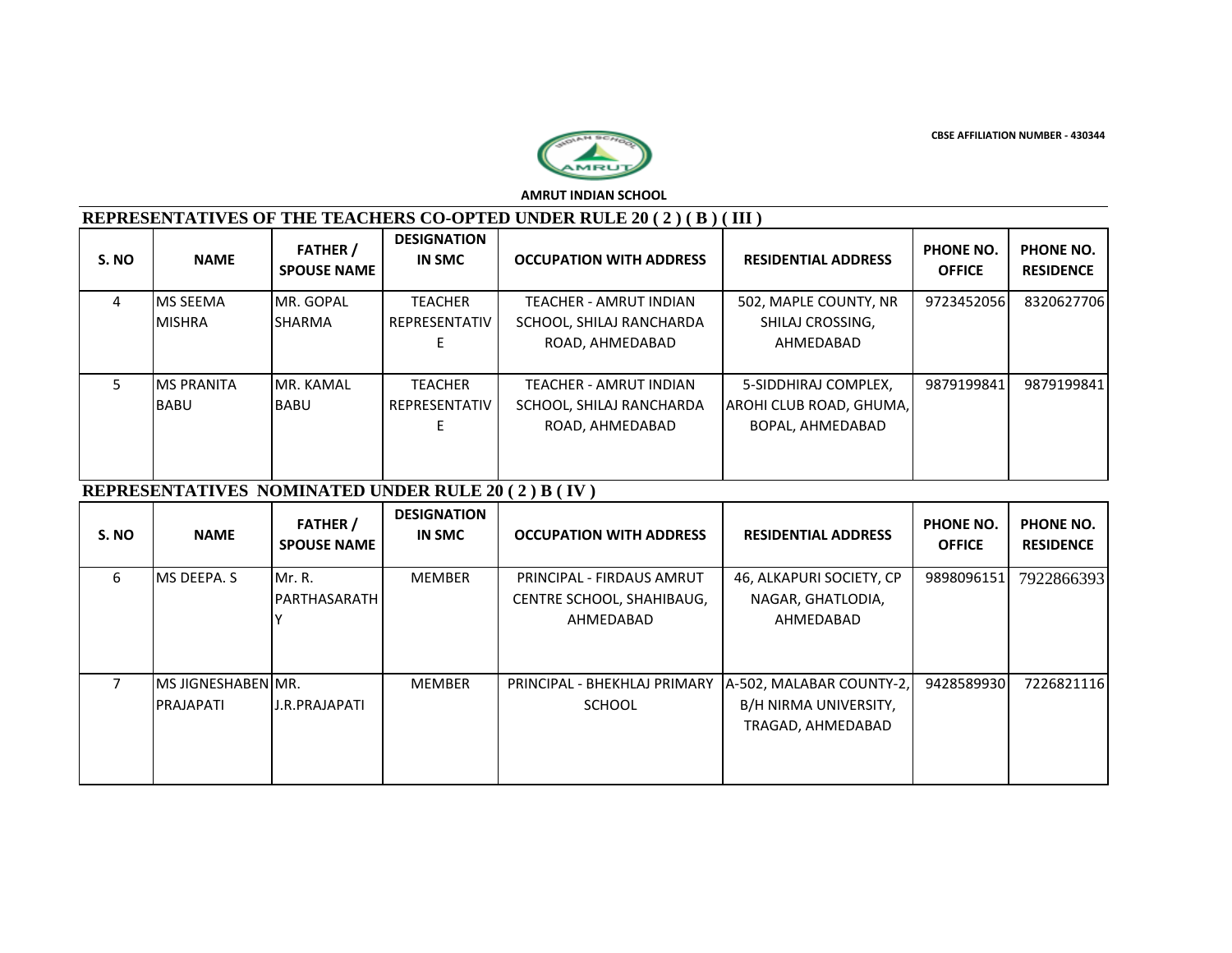**CBSE AFFILIATION NUMBER - 430344**



**AMRUT INDIAN SCHOOL**

#### **REPRESENTATIVES OF THE TEACHERS CO-OPTED UNDER RULE 20 ( 2 ) ( B ) ( III )**

| S. NO | <b>NAME</b>       | <b>FATHER</b> /<br><b>SPOUSE NAME</b> | <b>DESIGNATION</b><br><b>IN SMC</b> | <b>OCCUPATION WITH ADDRESS</b> | <b>RESIDENTIAL ADDRESS</b> | PHONE NO.<br><b>OFFICE</b> | PHONE NO.<br><b>RESIDENCE</b> |
|-------|-------------------|---------------------------------------|-------------------------------------|--------------------------------|----------------------------|----------------------------|-------------------------------|
| 4     | <b>IMS SEEMA</b>  | MR. GOPAL                             | <b>TEACHER</b>                      | TEACHER - AMRUT INDIAN         | 502. MAPLE COUNTY, NR      | 9723452056                 | 8320627706                    |
|       | <b>MISHRA</b>     | <b>SHARMA</b>                         | REPRESENTATIV                       | SCHOOL, SHILAJ RANCHARDA       | SHILAJ CROSSING,           |                            |                               |
|       |                   |                                       |                                     | ROAD, AHMEDABAD                | AHMEDABAD                  |                            |                               |
|       |                   |                                       |                                     |                                |                            |                            |                               |
|       | <b>MS PRANITA</b> | MR. KAMAL                             | <b>TEACHER</b>                      | TEACHER - AMRUT INDIAN         | 5-SIDDHIRAJ COMPLEX.       | 9879199841                 | 9879199841                    |
|       | <b>BABU</b>       | <b>BABU</b>                           | REPRESENTATIV                       | SCHOOL, SHILAJ RANCHARDA       | AROHI CLUB ROAD, GHUMA,    |                            |                               |
|       |                   |                                       |                                     | ROAD, AHMEDABAD                | BOPAL, AHMEDABAD           |                            |                               |
|       |                   |                                       |                                     |                                |                            |                            |                               |
|       |                   |                                       |                                     |                                |                            |                            |                               |

#### **REPRESENTATIVES NOMINATED UNDER RULE 20 ( 2 ) B ( IV )**

| S. NO | <b>NAME</b>                                    | <b>FATHER</b> /<br><b>SPOUSE NAME</b> | <b>DESIGNATION</b><br>IN SMC | <b>OCCUPATION WITH ADDRESS</b>                                      | <b>RESIDENTIAL ADDRESS</b>                                             | PHONE NO.<br><b>OFFICE</b> | <b>PHONE NO.</b><br><b>RESIDENCE</b> |
|-------|------------------------------------------------|---------------------------------------|------------------------------|---------------------------------------------------------------------|------------------------------------------------------------------------|----------------------------|--------------------------------------|
| 6     | MS DEEPA. S                                    | Mr. R.<br><b>IPARTHASARATH</b>        | <b>MEMBER</b>                | PRINCIPAL - FIRDAUS AMRUT<br>CENTRE SCHOOL, SHAHIBAUG,<br>AHMEDABAD | 46, ALKAPURI SOCIETY, CP<br>NAGAR, GHATLODIA,<br>AHMEDABAD             | 9898096151                 | 7922866393                           |
|       | <b>IMS JIGNESHABENIMR.</b><br><b>PRAJAPATI</b> | <b>J.R.PRAJAPATI</b>                  | <b>MEMBER</b>                | PRINCIPAL - BHEKHLAJ PRIMARY<br><b>SCHOOL</b>                       | A-502, MALABAR COUNTY-2,<br>B/H NIRMA UNIVERSITY,<br>TRAGAD, AHMEDABAD | 9428589930                 | 7226821116                           |